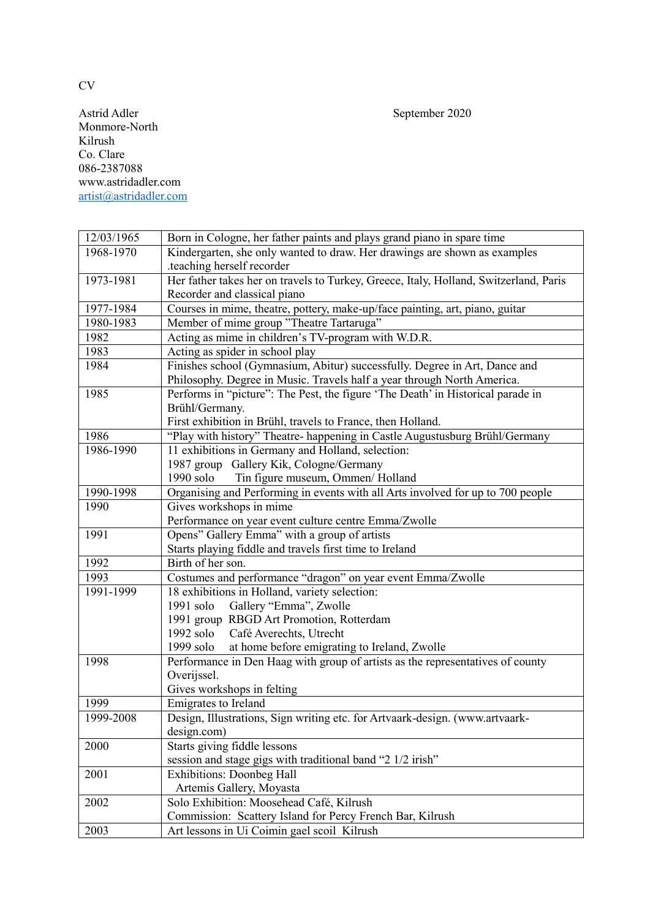Astrid Adler September 2020 Monmore-North Kilrush Co. Clare 086-2387088 [www.astridadler.com](http://www.astridadler.com/) [artist@astridadler.com](mailto:artist@astridadler.com)

| 12/03/1965 | Born in Cologne, her father paints and plays grand piano in spare time                     |
|------------|--------------------------------------------------------------------------------------------|
| 1968-1970  | Kindergarten, she only wanted to draw. Her drawings are shown as examples                  |
|            | teaching herself recorder.                                                                 |
| 1973-1981  | Her father takes her on travels to Turkey, Greece, Italy, Holland, Switzerland, Paris      |
|            | Recorder and classical piano                                                               |
| 1977-1984  | Courses in mime, theatre, pottery, make-up/face painting, art, piano, guitar               |
| 1980-1983  | Member of mime group "Theatre Tartaruga"                                                   |
| 1982       | Acting as mime in children's TV-program with W.D.R.                                        |
| 1983       | Acting as spider in school play                                                            |
| 1984       | Finishes school (Gymnasium, Abitur) successfully. Degree in Art, Dance and                 |
|            | Philosophy. Degree in Music. Travels half a year through North America.                    |
| 1985       | Performs in "picture": The Pest, the figure 'The Death' in Historical parade in            |
|            | Brühl/Germany.                                                                             |
|            | First exhibition in Brühl, travels to France, then Holland.                                |
| 1986       | "Play with history" Theatre- happening in Castle Augustusburg Brühl/Germany                |
| 1986-1990  | 11 exhibitions in Germany and Holland, selection:                                          |
|            | 1987 group Gallery Kik, Cologne/Germany                                                    |
|            | 1990 solo<br>Tin figure museum, Ommen/Holland                                              |
| 1990-1998  | Organising and Performing in events with all Arts involved for up to 700 people            |
| 1990       | Gives workshops in mime                                                                    |
|            | Performance on year event culture centre Emma/Zwolle                                       |
| 1991       | Opens" Gallery Emma" with a group of artists                                               |
|            | Starts playing fiddle and travels first time to Ireland                                    |
| 1992       | Birth of her son.                                                                          |
| 1993       | Costumes and performance "dragon" on year event Emma/Zwolle                                |
| 1991-1999  | 18 exhibitions in Holland, variety selection:                                              |
|            | Gallery "Emma", Zwolle<br>1991 solo                                                        |
|            | 1991 group RBGD Art Promotion, Rotterdam                                                   |
|            | 1992 solo<br>Café Averechts, Utrecht                                                       |
|            | at home before emigrating to Ireland, Zwolle<br>1999 solo                                  |
| 1998       | Performance in Den Haag with group of artists as the representatives of county             |
|            | Overijssel.                                                                                |
|            | Gives workshops in felting                                                                 |
| 1999       | Emigrates to Ireland                                                                       |
| 1999-2008  | Design, Illustrations, Sign writing etc. for Artvaark-design. (www.artvaark-               |
|            | design.com)                                                                                |
| 2000       | Starts giving fiddle lessons<br>session and stage gigs with traditional band "2 1/2 irish" |
|            |                                                                                            |
| 2001       | <b>Exhibitions: Doonbeg Hall</b>                                                           |
|            | Artemis Gallery, Moyasta<br>Solo Exhibition: Moosehead Café, Kilrush                       |
| 2002       | Commission: Scattery Island for Percy French Bar, Kilrush                                  |
|            | Art lessons in Ui Coimin gael scoil Kilrush                                                |
| 2003       |                                                                                            |

CV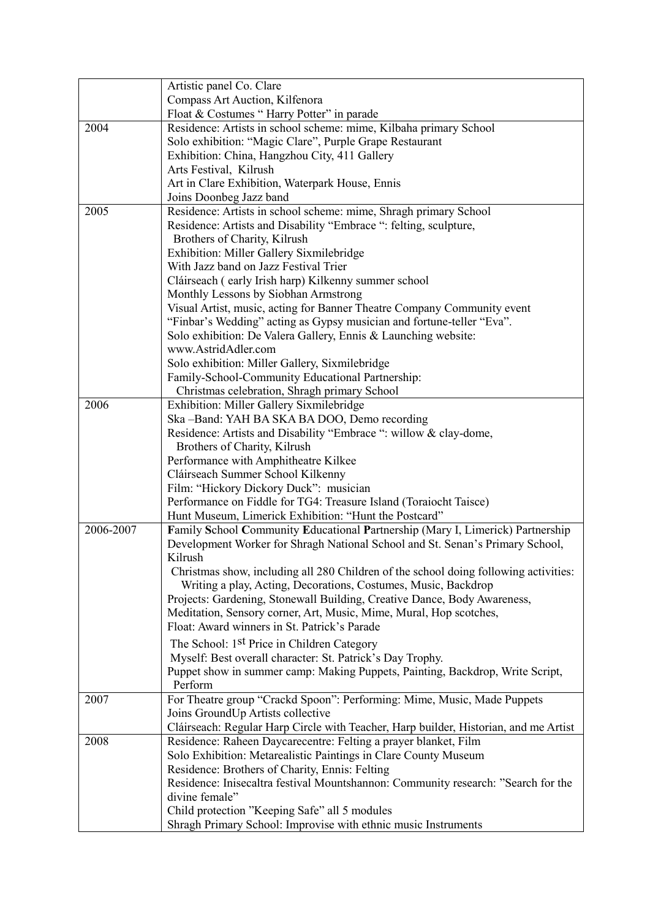|           | Artistic panel Co. Clare                                                                 |
|-----------|------------------------------------------------------------------------------------------|
|           | Compass Art Auction, Kilfenora                                                           |
|           | Float & Costumes "Harry Potter" in parade                                                |
| 2004      | Residence: Artists in school scheme: mime, Kilbaha primary School                        |
|           | Solo exhibition: "Magic Clare", Purple Grape Restaurant                                  |
|           | Exhibition: China, Hangzhou City, 411 Gallery                                            |
|           | Arts Festival, Kilrush                                                                   |
|           | Art in Clare Exhibition, Waterpark House, Ennis                                          |
|           | Joins Doonbeg Jazz band                                                                  |
| 2005      | Residence: Artists in school scheme: mime, Shragh primary School                         |
|           | Residence: Artists and Disability "Embrace ": felting, sculpture,                        |
|           | Brothers of Charity, Kilrush                                                             |
|           | Exhibition: Miller Gallery Sixmilebridge                                                 |
|           | With Jazz band on Jazz Festival Trier                                                    |
|           | Cláirseach (early Irish harp) Kilkenny summer school                                     |
|           | Monthly Lessons by Siobhan Armstrong                                                     |
|           | Visual Artist, music, acting for Banner Theatre Company Community event                  |
|           | "Finbar's Wedding" acting as Gypsy musician and fortune-teller "Eva".                    |
|           | Solo exhibition: De Valera Gallery, Ennis & Launching website:                           |
|           | www.AstridAdler.com                                                                      |
|           | Solo exhibition: Miller Gallery, Sixmilebridge                                           |
|           | Family-School-Community Educational Partnership:                                         |
|           | Christmas celebration, Shragh primary School                                             |
| 2006      | Exhibition: Miller Gallery Sixmilebridge                                                 |
|           | Ska-Band: YAH BA SKA BA DOO, Demo recording                                              |
|           | Residence: Artists and Disability "Embrace ": willow & clay-dome,                        |
|           | Brothers of Charity, Kilrush                                                             |
|           | Performance with Amphitheatre Kilkee                                                     |
|           | Cláirseach Summer School Kilkenny                                                        |
|           | Film: "Hickory Dickory Duck": musician                                                   |
|           | Performance on Fiddle for TG4: Treasure Island (Toraiocht Taisce)                        |
|           | Hunt Museum, Limerick Exhibition: "Hunt the Postcard"                                    |
| 2006-2007 | Family School Community Educational Partnership (Mary I, Limerick) Partnership           |
|           | Development Worker for Shragh National School and St. Senan's Primary School,            |
|           | Kilrush                                                                                  |
|           | Christmas show, including all 280 Children of the school doing following activities:     |
|           | Writing a play, Acting, Decorations, Costumes, Music, Backdrop                           |
|           | Projects: Gardening, Stonewall Building, Creative Dance, Body Awareness,                 |
|           | Meditation, Sensory corner, Art, Music, Mime, Mural, Hop scotches,                       |
|           | Float: Award winners in St. Patrick's Parade                                             |
|           | The School: 1 <sup>st</sup> Price in Children Category                                   |
|           | Myself: Best overall character: St. Patrick's Day Trophy.                                |
|           | Puppet show in summer camp: Making Puppets, Painting, Backdrop, Write Script,<br>Perform |
| 2007      | For Theatre group "Crackd Spoon": Performing: Mime, Music, Made Puppets                  |
|           | Joins GroundUp Artists collective                                                        |
|           | Cláirseach: Regular Harp Circle with Teacher, Harp builder, Historian, and me Artist     |
| 2008      | Residence: Raheen Daycarecentre: Felting a prayer blanket, Film                          |
|           | Solo Exhibition: Metarealistic Paintings in Clare County Museum                          |
|           | Residence: Brothers of Charity, Ennis: Felting                                           |
|           | Residence: Inisecaltra festival Mountshannon: Community research: "Search for the        |
|           | divine female"                                                                           |
|           | Child protection "Keeping Safe" all 5 modules                                            |
|           | Shragh Primary School: Improvise with ethnic music Instruments                           |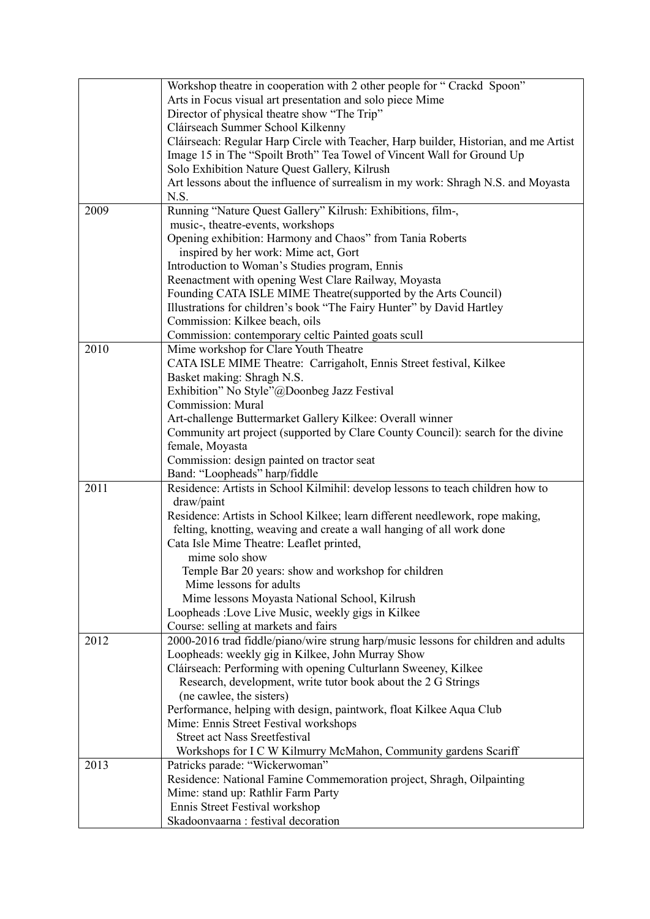|      | Workshop theatre in cooperation with 2 other people for "Crackd Spoon"               |
|------|--------------------------------------------------------------------------------------|
|      | Arts in Focus visual art presentation and solo piece Mime                            |
|      | Director of physical theatre show "The Trip"                                         |
|      | Cláirseach Summer School Kilkenny                                                    |
|      | Cláirseach: Regular Harp Circle with Teacher, Harp builder, Historian, and me Artist |
|      | Image 15 in The "Spoilt Broth" Tea Towel of Vincent Wall for Ground Up               |
|      | Solo Exhibition Nature Quest Gallery, Kilrush                                        |
|      | Art lessons about the influence of surrealism in my work: Shragh N.S. and Moyasta    |
|      | N.S.                                                                                 |
| 2009 | Running "Nature Quest Gallery" Kilrush: Exhibitions, film-,                          |
|      |                                                                                      |
|      | music-, theatre-events, workshops                                                    |
|      | Opening exhibition: Harmony and Chaos" from Tania Roberts                            |
|      | inspired by her work: Mime act, Gort                                                 |
|      | Introduction to Woman's Studies program, Ennis                                       |
|      | Reenactment with opening West Clare Railway, Moyasta                                 |
|      | Founding CATA ISLE MIME Theatre(supported by the Arts Council)                       |
|      | Illustrations for children's book "The Fairy Hunter" by David Hartley                |
|      | Commission: Kilkee beach, oils                                                       |
|      | Commission: contemporary celtic Painted goats scull                                  |
| 2010 | Mime workshop for Clare Youth Theatre                                                |
|      | CATA ISLE MIME Theatre: Carrigaholt, Ennis Street festival, Kilkee                   |
|      | Basket making: Shragh N.S.                                                           |
|      | Exhibition" No Style"@Doonbeg Jazz Festival                                          |
|      | <b>Commission: Mural</b>                                                             |
|      | Art-challenge Buttermarket Gallery Kilkee: Overall winner                            |
|      | Community art project (supported by Clare County Council): search for the divine     |
|      | female, Moyasta                                                                      |
|      | Commission: design painted on tractor seat                                           |
|      | Band: "Loopheads" harp/fiddle                                                        |
| 2011 | Residence: Artists in School Kilmihil: develop lessons to teach children how to      |
|      | draw/paint                                                                           |
|      | Residence: Artists in School Kilkee; learn different needlework, rope making,        |
|      | felting, knotting, weaving and create a wall hanging of all work done                |
|      | Cata Isle Mime Theatre: Leaflet printed,                                             |
|      | mime solo show                                                                       |
|      | Temple Bar 20 years: show and workshop for children                                  |
|      | Mime lessons for adults                                                              |
|      | Mime lessons Moyasta National School, Kilrush                                        |
|      | Loopheads : Love Live Music, weekly gigs in Kilkee                                   |
|      | Course: selling at markets and fairs                                                 |
| 2012 | 2000-2016 trad fiddle/piano/wire strung harp/music lessons for children and adults   |
|      | Loopheads: weekly gig in Kilkee, John Murray Show                                    |
|      | Cláirseach: Performing with opening Culturlann Sweeney, Kilkee                       |
|      | Research, development, write tutor book about the 2 G Strings                        |
|      | (ne cawlee, the sisters)                                                             |
|      | Performance, helping with design, paintwork, float Kilkee Aqua Club                  |
|      | Mime: Ennis Street Festival workshops                                                |
|      | <b>Street act Nass Sreetfestival</b>                                                 |
|      | Workshops for I C W Kilmurry McMahon, Community gardens Scariff                      |
| 2013 | Patricks parade: "Wickerwoman"                                                       |
|      | Residence: National Famine Commemoration project, Shragh, Oilpainting                |
|      | Mime: stand up: Rathlir Farm Party                                                   |
|      | Ennis Street Festival workshop                                                       |
|      | Skadoonvaarna : festival decoration                                                  |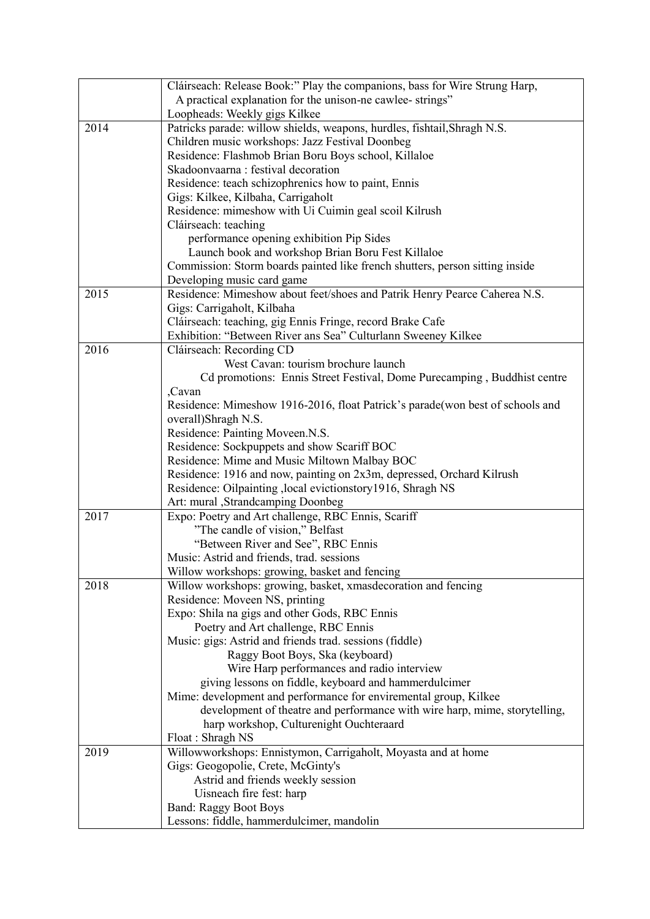|      | Cláirseach: Release Book:" Play the companions, bass for Wire Strung Harp,    |
|------|-------------------------------------------------------------------------------|
|      | A practical explanation for the unison-ne cawlee-strings"                     |
|      | Loopheads: Weekly gigs Kilkee                                                 |
| 2014 | Patricks parade: willow shields, weapons, hurdles, fishtail, Shragh N.S.      |
|      | Children music workshops: Jazz Festival Doonbeg                               |
|      | Residence: Flashmob Brian Boru Boys school, Killaloe                          |
|      | Skadoonvaarna: festival decoration                                            |
|      | Residence: teach schizophrenics how to paint, Ennis                           |
|      | Gigs: Kilkee, Kilbaha, Carrigaholt                                            |
|      | Residence: mimeshow with Ui Cuimin geal scoil Kilrush                         |
|      | Cláirseach: teaching                                                          |
|      | performance opening exhibition Pip Sides                                      |
|      | Launch book and workshop Brian Boru Fest Killaloe                             |
|      | Commission: Storm boards painted like french shutters, person sitting inside  |
|      | Developing music card game                                                    |
| 2015 | Residence: Mimeshow about feet/shoes and Patrik Henry Pearce Caherea N.S.     |
|      | Gigs: Carrigaholt, Kilbaha                                                    |
|      | Cláirseach: teaching, gig Ennis Fringe, record Brake Cafe                     |
|      | Exhibition: "Between River ans Sea" Culturlann Sweeney Kilkee                 |
| 2016 | Cláirseach: Recording CD                                                      |
|      | West Cavan: tourism brochure launch                                           |
|      | Cd promotions: Ennis Street Festival, Dome Purecamping, Buddhist centre       |
|      | ,Cavan                                                                        |
|      | Residence: Mimeshow 1916-2016, float Patrick's parade(won best of schools and |
|      | overall)Shragh N.S.                                                           |
|      | Residence: Painting Moveen.N.S.                                               |
|      | Residence: Sockpuppets and show Scariff BOC                                   |
|      | Residence: Mime and Music Miltown Malbay BOC                                  |
|      | Residence: 1916 and now, painting on 2x3m, depressed, Orchard Kilrush         |
|      | Residence: Oilpainting , local evictionstory 1916, Shragh NS                  |
|      | Art: mural , Strandcamping Doonbeg                                            |
| 2017 | Expo: Poetry and Art challenge, RBC Ennis, Scariff                            |
|      | "The candle of vision," Belfast                                               |
|      | "Between River and See", RBC Ennis                                            |
|      | Music: Astrid and friends, trad. sessions                                     |
|      | Willow workshops: growing, basket and fencing                                 |
| 2018 | Willow workshops: growing, basket, xmasdecoration and fencing                 |
|      | Residence: Moveen NS, printing                                                |
|      | Expo: Shila na gigs and other Gods, RBC Ennis                                 |
|      | Poetry and Art challenge, RBC Ennis                                           |
|      | Music: gigs: Astrid and friends trad. sessions (fiddle)                       |
|      | Raggy Boot Boys, Ska (keyboard)                                               |
|      | Wire Harp performances and radio interview                                    |
|      | giving lessons on fiddle, keyboard and hammerdulcimer                         |
|      | Mime: development and performance for enviremental group, Kilkee              |
|      | development of theatre and performance with wire harp, mime, storytelling,    |
|      | harp workshop, Culturenight Ouchteraard                                       |
|      | Float: Shragh NS                                                              |
| 2019 | Willowworkshops: Ennistymon, Carrigaholt, Moyasta and at home                 |
|      | Gigs: Geogopolie, Crete, McGinty's                                            |
|      | Astrid and friends weekly session                                             |
|      | Uisneach fire fest: harp                                                      |
|      | <b>Band: Raggy Boot Boys</b>                                                  |
|      | Lessons: fiddle, hammerdulcimer, mandolin                                     |